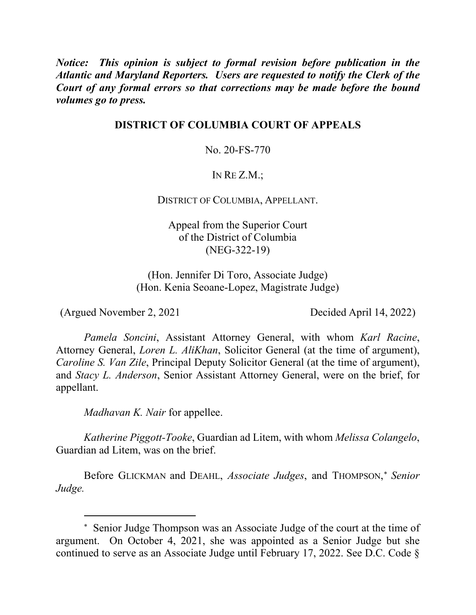*Notice: This opinion is subject to formal revision before publication in the Atlantic and Maryland Reporters. Users are requested to notify the Clerk of the Court of any formal errors so that corrections may be made before the bound volumes go to press.*

# **DISTRICT OF COLUMBIA COURT OF APPEALS**

No. 20-FS-770

# IN RE Z.M.;

## DISTRICT OF COLUMBIA, APPELLANT.

Appeal from the Superior Court of the District of Columbia (NEG-322-19)

(Hon. Jennifer Di Toro, Associate Judge) (Hon. Kenia Seoane-Lopez, Magistrate Judge)

(Argued November 2, 2021 Decided April 14, 2022)

 $\overline{a}$ 

*Pamela Soncini*, Assistant Attorney General, with whom *Karl Racine*, Attorney General, *Loren L. AliKhan*, Solicitor General (at the time of argument), *Caroline S. Van Zile*, Principal Deputy Solicitor General (at the time of argument), and *Stacy L. Anderson*, Senior Assistant Attorney General, were on the brief, for appellant.

*Madhavan K. Nair* for appellee.

*Katherine Piggott-Tooke*, Guardian ad Litem, with whom *Melissa Colangelo*, Guardian ad Litem, was on the brief.

Before GLICKMAN and DEAHL, *Associate Judges*, and THOMPSON, <sup>∗</sup> *Senior Judge.*

<sup>∗</sup> Senior Judge Thompson was an Associate Judge of the court at the time of argument. On October 4, 2021, she was appointed as a Senior Judge but she continued to serve as an Associate Judge until February 17, 2022. See D.C. Code §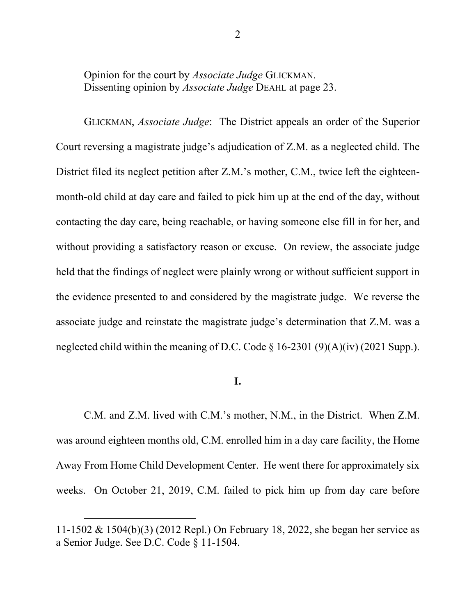Opinion for the court by *Associate Judge* GLICKMAN. Dissenting opinion by *Associate Judge* DEAHL at page 23.

GLICKMAN, *Associate Judge*: The District appeals an order of the Superior Court reversing a magistrate judge's adjudication of Z.M. as a neglected child. The District filed its neglect petition after Z.M.'s mother, C.M., twice left the eighteenmonth-old child at day care and failed to pick him up at the end of the day, without contacting the day care, being reachable, or having someone else fill in for her, and without providing a satisfactory reason or excuse. On review, the associate judge held that the findings of neglect were plainly wrong or without sufficient support in the evidence presented to and considered by the magistrate judge. We reverse the associate judge and reinstate the magistrate judge's determination that Z.M. was a neglected child within the meaning of D.C. Code  $\S$  16-2301 (9)(A)(iv) (2021 Supp.).

### **I.**

C.M. and Z.M. lived with C.M.'s mother, N.M., in the District. When Z.M. was around eighteen months old, C.M. enrolled him in a day care facility, the Home Away From Home Child Development Center. He went there for approximately six weeks. On October 21, 2019, C.M. failed to pick him up from day care before

 $\overline{a}$ 

<sup>11-1502 &</sup>amp; 1504(b)(3) (2012 Repl.) On February 18, 2022, she began her service as a Senior Judge. See D.C. Code § 11-1504.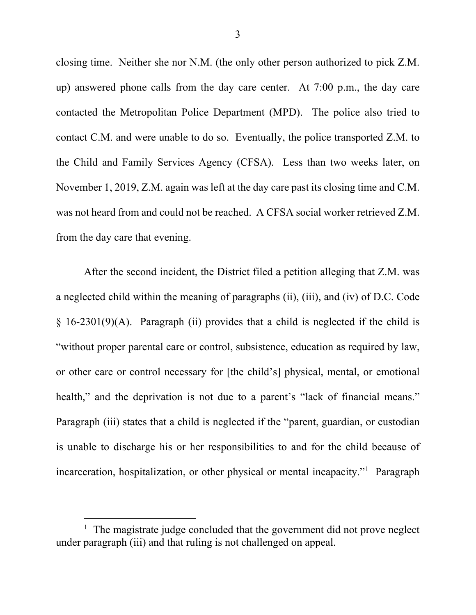closing time. Neither she nor N.M. (the only other person authorized to pick Z.M. up) answered phone calls from the day care center. At 7:00 p.m., the day care contacted the Metropolitan Police Department (MPD). The police also tried to contact C.M. and were unable to do so. Eventually, the police transported Z.M. to the Child and Family Services Agency (CFSA). Less than two weeks later, on November 1, 2019, Z.M. again was left at the day care past its closing time and C.M. was not heard from and could not be reached. A CFSA social worker retrieved Z.M. from the day care that evening.

After the second incident, the District filed a petition alleging that Z.M. was a neglected child within the meaning of paragraphs (ii), (iii), and (iv) of D.C. Code  $§ 16-2301(9)(A)$ . Paragraph (ii) provides that a child is neglected if the child is "without proper parental care or control, subsistence, education as required by law, or other care or control necessary for [the child's] physical, mental, or emotional health," and the deprivation is not due to a parent's "lack of financial means." Paragraph (iii) states that a child is neglected if the "parent, guardian, or custodian is unable to discharge his or her responsibilities to and for the child because of incarceration, hospitalization, or other physical or mental incapacity."1 Paragraph

 $\frac{1}{1}$  $1$  The magistrate judge concluded that the government did not prove neglect under paragraph (iii) and that ruling is not challenged on appeal.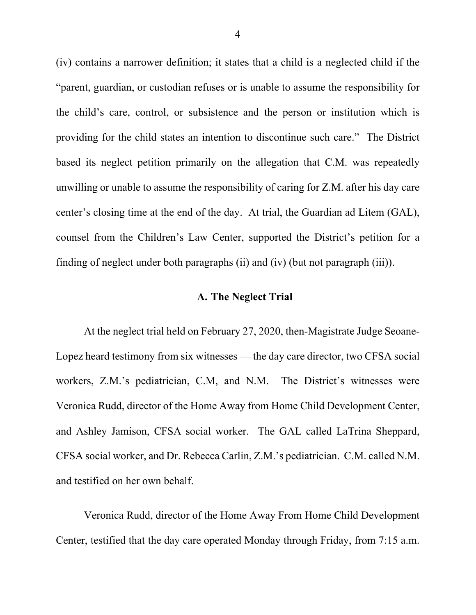(iv) contains a narrower definition; it states that a child is a neglected child if the "parent, guardian, or custodian refuses or is unable to assume the responsibility for the child's care, control, or subsistence and the person or institution which is providing for the child states an intention to discontinue such care." The District based its neglect petition primarily on the allegation that C.M. was repeatedly unwilling or unable to assume the responsibility of caring for Z.M. after his day care center's closing time at the end of the day. At trial, the Guardian ad Litem (GAL), counsel from the Children's Law Center, supported the District's petition for a finding of neglect under both paragraphs (ii) and (iv) (but not paragraph (iii)).

### **A. The Neglect Trial**

At the neglect trial held on February 27, 2020, then-Magistrate Judge Seoane-Lopez heard testimony from six witnesses — the day care director, two CFSA social workers, Z.M.'s pediatrician, C.M, and N.M. The District's witnesses were Veronica Rudd, director of the Home Away from Home Child Development Center, and Ashley Jamison, CFSA social worker. The GAL called LaTrina Sheppard, CFSA social worker, and Dr. Rebecca Carlin, Z.M.'s pediatrician. C.M. called N.M. and testified on her own behalf.

Veronica Rudd, director of the Home Away From Home Child Development Center, testified that the day care operated Monday through Friday, from 7:15 a.m.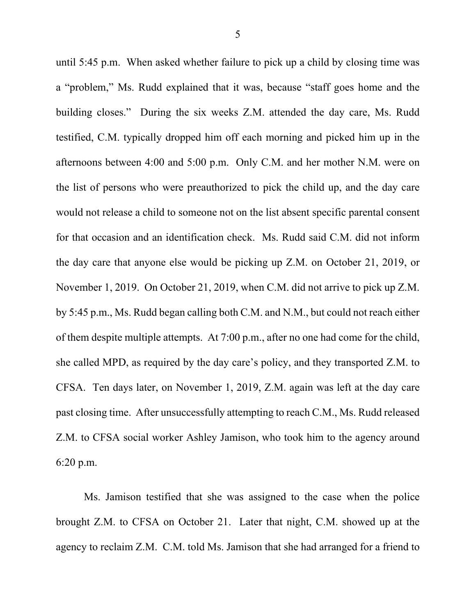until 5:45 p.m. When asked whether failure to pick up a child by closing time was a "problem," Ms. Rudd explained that it was, because "staff goes home and the building closes." During the six weeks Z.M. attended the day care, Ms. Rudd testified, C.M. typically dropped him off each morning and picked him up in the afternoons between 4:00 and 5:00 p.m. Only C.M. and her mother N.M. were on the list of persons who were preauthorized to pick the child up, and the day care would not release a child to someone not on the list absent specific parental consent for that occasion and an identification check. Ms. Rudd said C.M. did not inform the day care that anyone else would be picking up Z.M. on October 21, 2019, or November 1, 2019. On October 21, 2019, when C.M. did not arrive to pick up Z.M. by 5:45 p.m., Ms. Rudd began calling both C.M. and N.M., but could not reach either of them despite multiple attempts. At 7:00 p.m., after no one had come for the child, she called MPD, as required by the day care's policy, and they transported Z.M. to CFSA. Ten days later, on November 1, 2019, Z.M. again was left at the day care past closing time. After unsuccessfully attempting to reach C.M., Ms. Rudd released Z.M. to CFSA social worker Ashley Jamison, who took him to the agency around 6:20 p.m.

Ms. Jamison testified that she was assigned to the case when the police brought Z.M. to CFSA on October 21. Later that night, C.M. showed up at the agency to reclaim Z.M. C.M. told Ms. Jamison that she had arranged for a friend to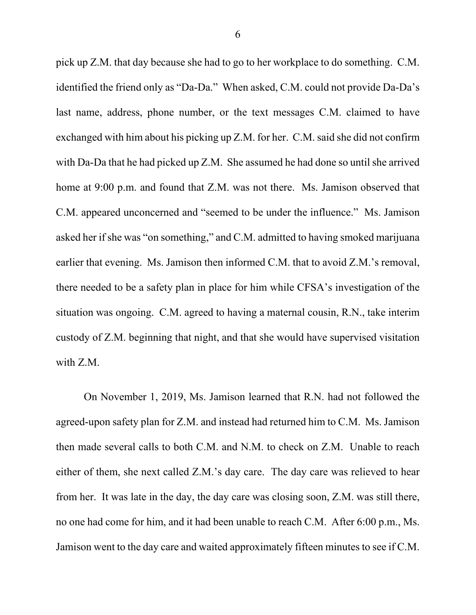pick up Z.M. that day because she had to go to her workplace to do something. C.M. identified the friend only as "Da-Da." When asked, C.M. could not provide Da-Da's last name, address, phone number, or the text messages C.M. claimed to have exchanged with him about his picking up Z.M. for her. C.M. said she did not confirm with Da-Da that he had picked up Z.M. She assumed he had done so until she arrived home at 9:00 p.m. and found that Z.M. was not there. Ms. Jamison observed that C.M. appeared unconcerned and "seemed to be under the influence." Ms. Jamison asked her if she was "on something," and C.M. admitted to having smoked marijuana earlier that evening. Ms. Jamison then informed C.M. that to avoid Z.M.'s removal, there needed to be a safety plan in place for him while CFSA's investigation of the situation was ongoing. C.M. agreed to having a maternal cousin, R.N., take interim custody of Z.M. beginning that night, and that she would have supervised visitation with Z.M.

On November 1, 2019, Ms. Jamison learned that R.N. had not followed the agreed-upon safety plan for Z.M. and instead had returned him to C.M. Ms. Jamison then made several calls to both C.M. and N.M. to check on Z.M. Unable to reach either of them, she next called Z.M.'s day care. The day care was relieved to hear from her. It was late in the day, the day care was closing soon, Z.M. was still there, no one had come for him, and it had been unable to reach C.M. After 6:00 p.m., Ms. Jamison went to the day care and waited approximately fifteen minutes to see if C.M.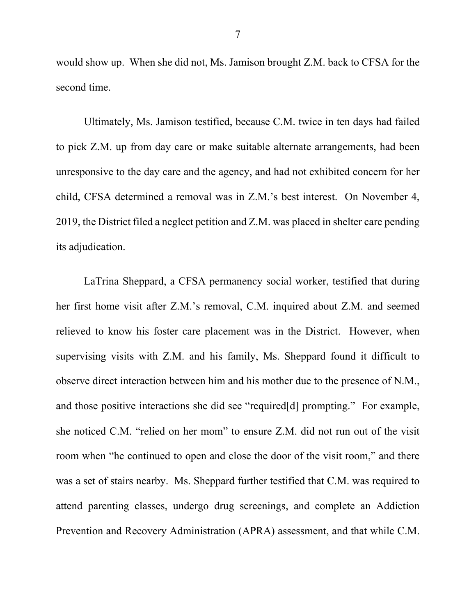would show up. When she did not, Ms. Jamison brought Z.M. back to CFSA for the second time.

Ultimately, Ms. Jamison testified, because C.M. twice in ten days had failed to pick Z.M. up from day care or make suitable alternate arrangements, had been unresponsive to the day care and the agency, and had not exhibited concern for her child, CFSA determined a removal was in Z.M.'s best interest.On November 4, 2019, the District filed a neglect petition and Z.M. was placed in shelter care pending its adjudication.

LaTrina Sheppard, a CFSA permanency social worker, testified that during her first home visit after Z.M.'s removal, C.M. inquired about Z.M. and seemed relieved to know his foster care placement was in the District. However, when supervising visits with Z.M. and his family, Ms. Sheppard found it difficult to observe direct interaction between him and his mother due to the presence of N.M., and those positive interactions she did see "required[d] prompting." For example, she noticed C.M. "relied on her mom" to ensure Z.M. did not run out of the visit room when "he continued to open and close the door of the visit room," and there was a set of stairs nearby.Ms. Sheppard further testified that C.M. was required to attend parenting classes, undergo drug screenings, and complete an Addiction Prevention and Recovery Administration (APRA) assessment, and that while C.M.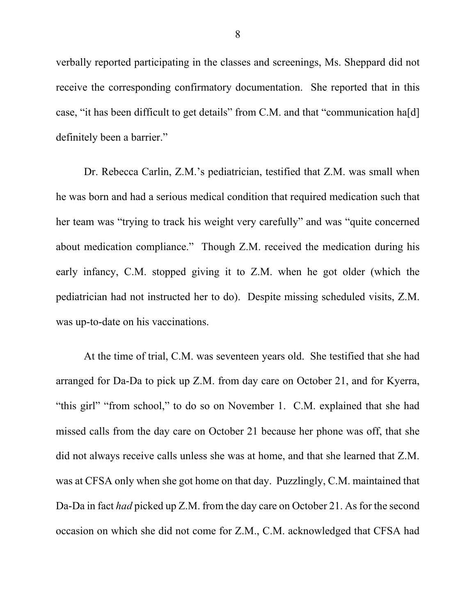verbally reported participating in the classes and screenings, Ms. Sheppard did not receive the corresponding confirmatory documentation.She reported that in this case, "it has been difficult to get details" from C.M. and that "communication ha[d] definitely been a barrier."

Dr. Rebecca Carlin, Z.M.'s pediatrician, testified that Z.M. was small when he was born and had a serious medical condition that required medication such that her team was "trying to track his weight very carefully" and was "quite concerned about medication compliance." Though Z.M. received the medication during his early infancy, C.M. stopped giving it to Z.M. when he got older (which the pediatrician had not instructed her to do). Despite missing scheduled visits, Z.M. was up-to-date on his vaccinations.

At the time of trial, C.M. was seventeen years old. She testified that she had arranged for Da-Da to pick up Z.M. from day care on October 21, and for Kyerra, "this girl" "from school," to do so on November 1. C.M. explained that she had missed calls from the day care on October 21 because her phone was off, that she did not always receive calls unless she was at home, and that she learned that Z.M. was at CFSA only when she got home on that day. Puzzlingly, C.M. maintained that Da-Da in fact *had* picked up Z.M. from the day care on October 21. As for the second occasion on which she did not come for Z.M., C.M. acknowledged that CFSA had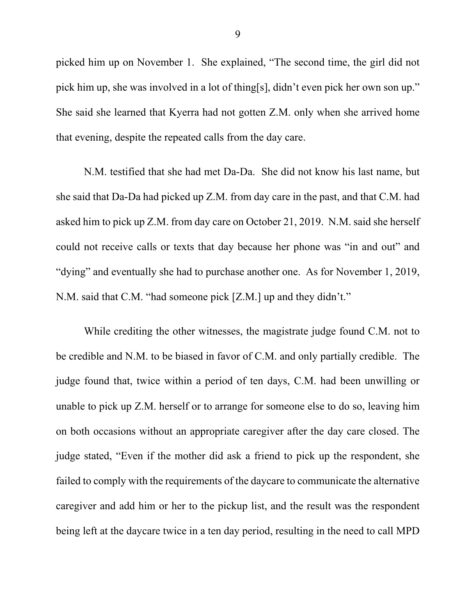picked him up on November 1. She explained, "The second time, the girl did not pick him up, she was involved in a lot of thing[s], didn't even pick her own son up." She said she learned that Kyerra had not gotten Z.M. only when she arrived home that evening, despite the repeated calls from the day care.

N.M. testified that she had met Da-Da. She did not know his last name, but she said that Da-Da had picked up Z.M. from day care in the past, and that C.M. had asked him to pick up Z.M. from day care on October 21, 2019. N.M. said she herself could not receive calls or texts that day because her phone was "in and out" and "dying" and eventually she had to purchase another one. As for November 1, 2019, N.M. said that C.M. "had someone pick [Z.M.] up and they didn't."

While crediting the other witnesses, the magistrate judge found C.M. not to be credible and N.M. to be biased in favor of C.M. and only partially credible. The judge found that, twice within a period of ten days, C.M. had been unwilling or unable to pick up Z.M. herself or to arrange for someone else to do so, leaving him on both occasions without an appropriate caregiver after the day care closed. The judge stated, "Even if the mother did ask a friend to pick up the respondent, she failed to comply with the requirements of the daycare to communicate the alternative caregiver and add him or her to the pickup list, and the result was the respondent being left at the daycare twice in a ten day period, resulting in the need to call MPD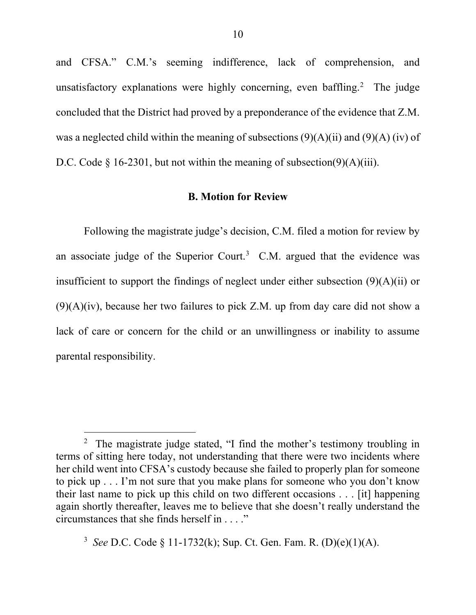and CFSA." C.M.'s seeming indifference, lack of comprehension, and unsatisfactory explanations were highly concerning, even baffling.<sup>2</sup> The judge concluded that the District had proved by a preponderance of the evidence that Z.M. was a neglected child within the meaning of subsections  $(9)(A)(ii)$  and  $(9)(A)(iv)$  of D.C. Code  $\S$  16-2301, but not within the meaning of subsection(9)(A)(iii).

#### **B. Motion for Review**

Following the magistrate judge's decision, C.M. filed a motion for review by an associate judge of the Superior Court.<sup>3</sup> C.M. argued that the evidence was insufficient to support the findings of neglect under either subsection (9)(A)(ii) or  $(9)(A)(iv)$ , because her two failures to pick Z.M. up from day care did not show a lack of care or concern for the child or an unwillingness or inability to assume parental responsibility.

 $\frac{1}{2}$ <sup>2</sup> The magistrate judge stated, "I find the mother's testimony troubling in terms of sitting here today, not understanding that there were two incidents where her child went into CFSA's custody because she failed to properly plan for someone to pick up . . . I'm not sure that you make plans for someone who you don't know their last name to pick up this child on two different occasions . . . [it] happening again shortly thereafter, leaves me to believe that she doesn't really understand the circumstances that she finds herself in . . . ."

<sup>3</sup> *See* D.C. Code § 11-1732(k); Sup. Ct. Gen. Fam. R. (D)(e)(1)(A).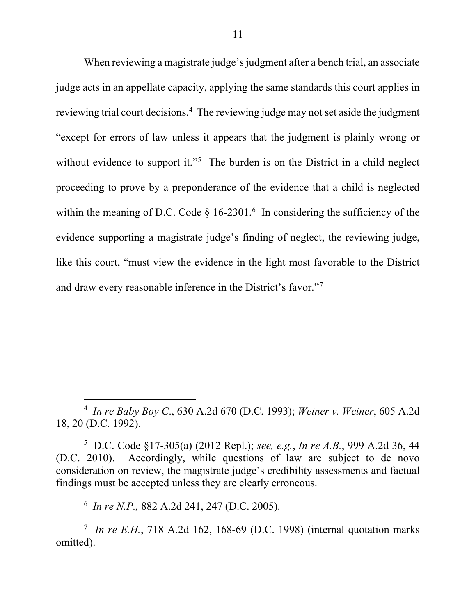When reviewing a magistrate judge's judgment after a bench trial, an associate judge acts in an appellate capacity, applying the same standards this court applies in reviewing trial court decisions.<sup>4</sup> The reviewing judge may not set aside the judgment "except for errors of law unless it appears that the judgment is plainly wrong or without evidence to support it."<sup>5</sup> The burden is on the District in a child neglect proceeding to prove by a preponderance of the evidence that a child is neglected within the meaning of D.C. Code  $\S 16-2301$ .<sup>6</sup> In considering the sufficiency of the evidence supporting a magistrate judge's finding of neglect, the reviewing judge, like this court, "must view the evidence in the light most favorable to the District and draw every reasonable inference in the District's favor."7

 $\frac{1}{4}$  *In re Baby Boy C*., 630 A.2d 670 (D.C. 1993); *Weiner v. Weiner*, 605 A.2d 18, 20 (D.C. 1992).

5 D.C. Code §17-305(a) (2012 Repl.); *see, e.g.*, *In re A.B.*, 999 A.2d 36, 44 (D.C. 2010). Accordingly, while questions of law are subject to de novo consideration on review, the magistrate judge's credibility assessments and factual findings must be accepted unless they are clearly erroneous.

6 *In re N.P.,* 882 A.2d 241, 247 (D.C. 2005).

7 *In re E.H.*, 718 A.2d 162, 168-69 (D.C. 1998) (internal quotation marks omitted).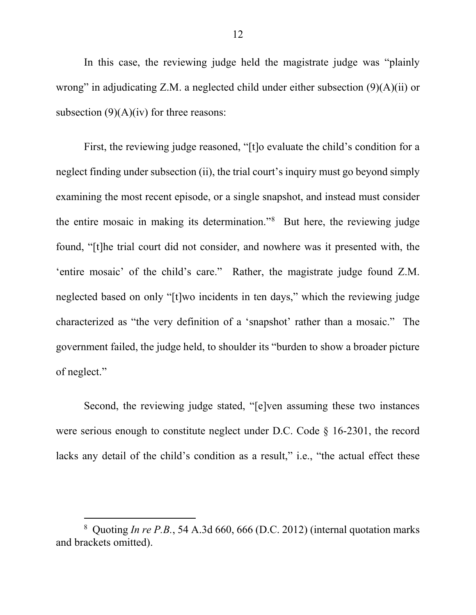In this case, the reviewing judge held the magistrate judge was "plainly wrong" in adjudicating Z.M. a neglected child under either subsection (9)(A)(ii) or subsection  $(9)(A)(iv)$  for three reasons:

First, the reviewing judge reasoned, "[t]o evaluate the child's condition for a neglect finding under subsection (ii), the trial court's inquiry must go beyond simply examining the most recent episode, or a single snapshot, and instead must consider the entire mosaic in making its determination."8 But here, the reviewing judge found, "[t]he trial court did not consider, and nowhere was it presented with, the 'entire mosaic' of the child's care." Rather, the magistrate judge found Z.M. neglected based on only "[t]wo incidents in ten days," which the reviewing judge characterized as "the very definition of a 'snapshot' rather than a mosaic." The government failed, the judge held, to shoulder its "burden to show a broader picture of neglect."

Second, the reviewing judge stated, "[e]ven assuming these two instances were serious enough to constitute neglect under D.C. Code § 16-2301, the record lacks any detail of the child's condition as a result," i.e., "the actual effect these

 <sup>8</sup> <sup>8</sup> Quoting *In re P.B.*, 54 A.3d 660, 666 (D.C. 2012) (internal quotation marks and brackets omitted).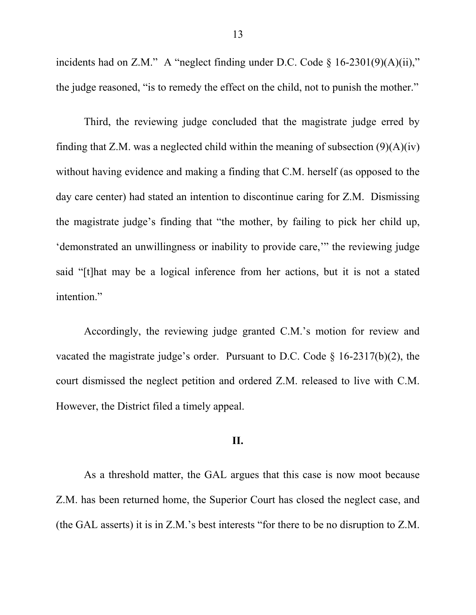incidents had on Z.M." A "neglect finding under D.C. Code  $\S$  16-2301(9)(A)(ii)," the judge reasoned, "is to remedy the effect on the child, not to punish the mother."

Third, the reviewing judge concluded that the magistrate judge erred by finding that Z.M. was a neglected child within the meaning of subsection  $(9)(A)(iv)$ without having evidence and making a finding that C.M. herself (as opposed to the day care center) had stated an intention to discontinue caring for Z.M. Dismissing the magistrate judge's finding that "the mother, by failing to pick her child up, 'demonstrated an unwillingness or inability to provide care,'" the reviewing judge said "[t]hat may be a logical inference from her actions, but it is not a stated intention."

Accordingly, the reviewing judge granted C.M.'s motion for review and vacated the magistrate judge's order. Pursuant to D.C. Code  $\S$  16-2317(b)(2), the court dismissed the neglect petition and ordered Z.M. released to live with C.M. However, the District filed a timely appeal.

## **II.**

As a threshold matter, the GAL argues that this case is now moot because Z.M. has been returned home, the Superior Court has closed the neglect case, and (the GAL asserts) it is in Z.M.'s best interests "for there to be no disruption to Z.M.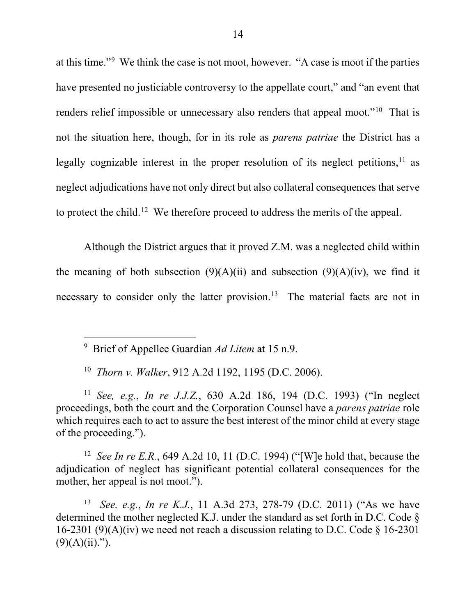at this time."<sup>9</sup> We think the case is not moot, however. "A case is moot if the parties have presented no justiciable controversy to the appellate court," and "an event that renders relief impossible or unnecessary also renders that appeal moot."<sup>10</sup> That is not the situation here, though, for in its role as *parens patriae* the District has a legally cognizable interest in the proper resolution of its neglect petitions,  $11$  as neglect adjudications have not only direct but also collateral consequences that serve to protect the child.<sup>12</sup> We therefore proceed to address the merits of the appeal.

Although the District argues that it proved Z.M. was a neglected child within the meaning of both subsection  $(9)(A)(ii)$  and subsection  $(9)(A)(iv)$ , we find it necessary to consider only the latter provision.<sup>13</sup> The material facts are not in

 9 Brief of Appellee Guardian *Ad Litem* at 15 n.9.

10 *Thorn v. Walker*, 912 A.2d 1192, 1195 (D.C. 2006).

<sup>11</sup> *See, e.g.*, *In re J.J.Z.*, 630 A.2d 186, 194 (D.C. 1993) ("In neglect proceedings, both the court and the Corporation Counsel have a *parens patriae* role which requires each to act to assure the best interest of the minor child at every stage of the proceeding.").

12 *See In re E.R.*, 649 A.2d 10, 11 (D.C. 1994) ("[W]e hold that, because the adjudication of neglect has significant potential collateral consequences for the mother, her appeal is not moot.").

13 *See, e.g.*, *In re K.J.*, 11 A.3d 273, 278-79 (D.C. 2011) ("As we have determined the mother neglected K.J. under the standard as set forth in D.C. Code § 16-2301 (9)(A)(iv) we need not reach a discussion relating to D.C. Code  $\S$  16-2301  $(9)(A)(ii)$ .").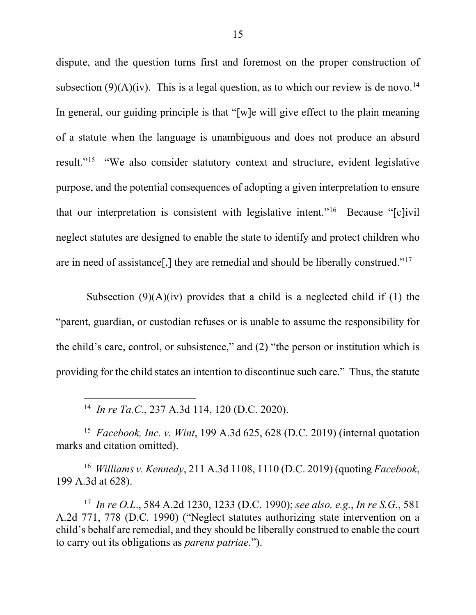dispute, and the question turns first and foremost on the proper construction of subsection  $(9)(A)(iv)$ . This is a legal question, as to which our review is de novo.<sup>14</sup> In general, our guiding principle is that "[w]e will give effect to the plain meaning of a statute when the language is unambiguous and does not produce an absurd result."15 "We also consider statutory context and structure, evident legislative purpose, and the potential consequences of adopting a given interpretation to ensure that our interpretation is consistent with legislative intent."16 Because "[c]ivil neglect statutes are designed to enable the state to identify and protect children who are in need of assistance[,] they are remedial and should be liberally construed."17

Subsection  $(9)(A)(iv)$  provides that a child is a neglected child if (1) the "parent, guardian, or custodian refuses or is unable to assume the responsibility for the child's care, control, or subsistence," and (2) "the person or institution which is providing for the child states an intention to discontinue such care." Thus, the statute

14 *In re Ta.C*., 237 A.3d 114, 120 (D.C. 2020).

15 *Facebook, Inc. v. Wint*, 199 A.3d 625, 628 (D.C. 2019) (internal quotation marks and citation omitted).

16 *Williams v. Kennedy*, 211 A.3d 1108, 1110 (D.C. 2019) (quoting *Facebook*, 199 A.3d at 628).

17 *In re O.L*., 584 A.2d 1230, 1233 (D.C. 1990); *see also, e.g.*, *In re S.G.*, 581 A.2d 771, 778 (D.C. 1990) ("Neglect statutes authorizing state intervention on a child's behalf are remedial, and they should be liberally construed to enable the court to carry out its obligations as *parens patriae*.").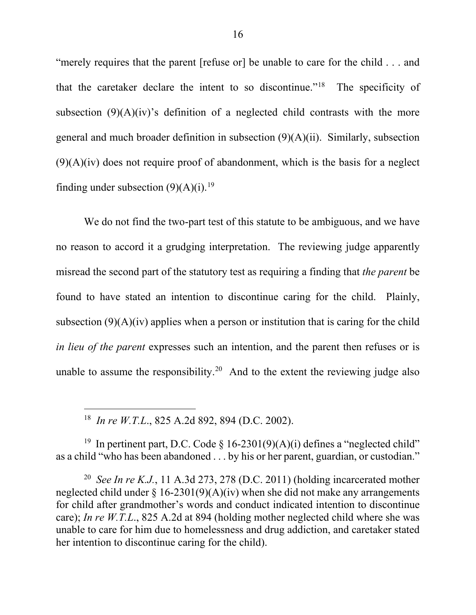"merely requires that the parent [refuse or] be unable to care for the child . . . and that the caretaker declare the intent to so discontinue."18 The specificity of subsection  $(9)(A)(iv)$ 's definition of a neglected child contrasts with the more general and much broader definition in subsection (9)(A)(ii). Similarly, subsection  $(9)(A)(iv)$  does not require proof of abandonment, which is the basis for a neglect finding under subsection  $(9)(A)(i)$ .<sup>19</sup>

We do not find the two-part test of this statute to be ambiguous, and we have no reason to accord it a grudging interpretation. The reviewing judge apparently misread the second part of the statutory test as requiring a finding that *the parent* be found to have stated an intention to discontinue caring for the child. Plainly, subsection  $(9)(A)(iv)$  applies when a person or institution that is caring for the child *in lieu of the parent* expresses such an intention, and the parent then refuses or is unable to assume the responsibility.<sup>20</sup> And to the extent the reviewing judge also

18 *In re W.T.L*., 825 A.2d 892, 894 (D.C. 2002).

<sup>19</sup> In pertinent part, D.C. Code § 16-2301(9)(A)(i) defines a "neglected child" as a child "who has been abandoned . . . by his or her parent, guardian, or custodian."

20 *See In re K.J.*, 11 A.3d 273, 278 (D.C. 2011) (holding incarcerated mother neglected child under  $\S 16-2301(9)(A)(iv)$  when she did not make any arrangements for child after grandmother's words and conduct indicated intention to discontinue care); *In re W.T.L*., 825 A.2d at 894 (holding mother neglected child where she was unable to care for him due to homelessness and drug addiction, and caretaker stated her intention to discontinue caring for the child).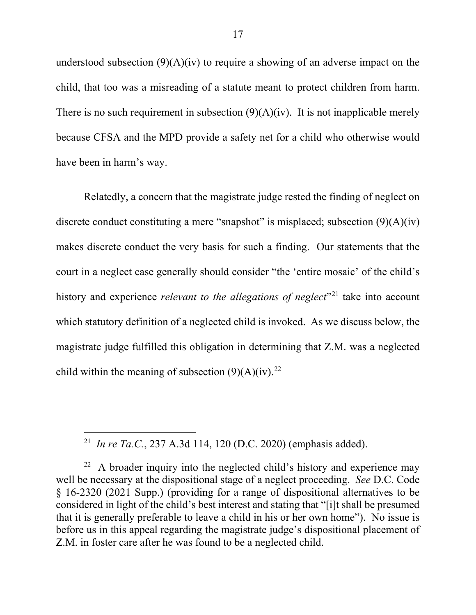understood subsection  $(9)(A)(iv)$  to require a showing of an adverse impact on the child, that too was a misreading of a statute meant to protect children from harm. There is no such requirement in subsection  $(9)(A)(iv)$ . It is not inapplicable merely because CFSA and the MPD provide a safety net for a child who otherwise would have been in harm's way.

Relatedly, a concern that the magistrate judge rested the finding of neglect on discrete conduct constituting a mere "snapshot" is misplaced; subsection  $(9)(A)(iv)$ makes discrete conduct the very basis for such a finding. Our statements that the court in a neglect case generally should consider "the 'entire mosaic' of the child's history and experience *relevant to the allegations of neglect*<sup>21</sup> take into account which statutory definition of a neglected child is invoked. As we discuss below, the magistrate judge fulfilled this obligation in determining that Z.M. was a neglected child within the meaning of subsection  $(9)(A)(iv).^{22}$ 

 <sup>21</sup> *In re Ta.C.*, 237 A.3d 114, 120 (D.C. 2020) (emphasis added).

 $22$  A broader inquiry into the neglected child's history and experience may well be necessary at the dispositional stage of a neglect proceeding. *See* D.C. Code § 16-2320 (2021 Supp.) (providing for a range of dispositional alternatives to be considered in light of the child's best interest and stating that "[i]t shall be presumed that it is generally preferable to leave a child in his or her own home"). No issue is before us in this appeal regarding the magistrate judge's dispositional placement of Z.M. in foster care after he was found to be a neglected child.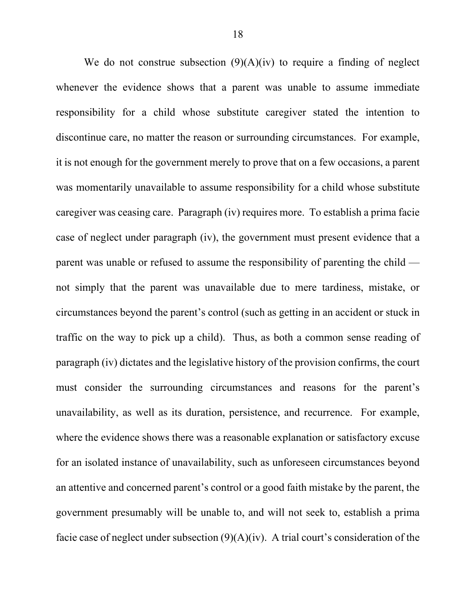We do not construe subsection  $(9)(A)(iv)$  to require a finding of neglect whenever the evidence shows that a parent was unable to assume immediate responsibility for a child whose substitute caregiver stated the intention to discontinue care, no matter the reason or surrounding circumstances. For example, it is not enough for the government merely to prove that on a few occasions, a parent was momentarily unavailable to assume responsibility for a child whose substitute caregiver was ceasing care. Paragraph (iv) requires more. To establish a prima facie case of neglect under paragraph (iv), the government must present evidence that a parent was unable or refused to assume the responsibility of parenting the child not simply that the parent was unavailable due to mere tardiness, mistake, or circumstances beyond the parent's control (such as getting in an accident or stuck in traffic on the way to pick up a child). Thus, as both a common sense reading of paragraph (iv) dictates and the legislative history of the provision confirms, the court must consider the surrounding circumstances and reasons for the parent's unavailability, as well as its duration, persistence, and recurrence. For example, where the evidence shows there was a reasonable explanation or satisfactory excuse for an isolated instance of unavailability, such as unforeseen circumstances beyond an attentive and concerned parent's control or a good faith mistake by the parent, the government presumably will be unable to, and will not seek to, establish a prima facie case of neglect under subsection  $(9)(A)(iv)$ . A trial court's consideration of the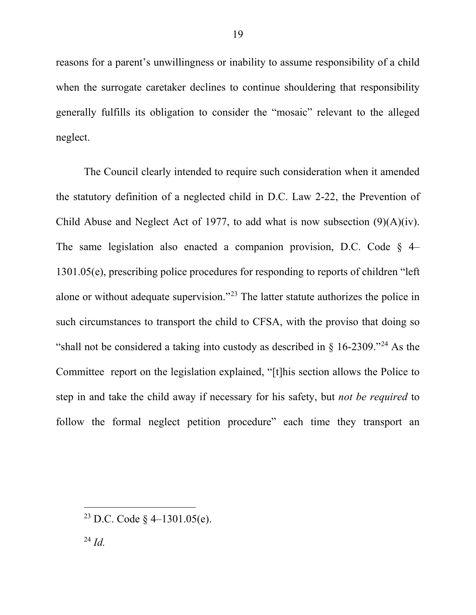reasons for a parent's unwillingness or inability to assume responsibility of a child when the surrogate caretaker declines to continue shouldering that responsibility generally fulfills its obligation to consider the "mosaic" relevant to the alleged neglect.

The Council clearly intended to require such consideration when it amended the statutory definition of a neglected child in D.C. Law 2-22, the Prevention of Child Abuse and Neglect Act of 1977, to add what is now subsection (9)(A)(iv). The same legislation also enacted a companion provision, D.C. Code  $\S$  4– 1301.05(e), prescribing police procedures for responding to reports of children "left alone or without adequate supervision."23 The latter statute authorizes the police in such circumstances to transport the child to CFSA, with the proviso that doing so "shall not be considered a taking into custody as described in  $\S$  16-2309."<sup>24</sup> As the Committee report on the legislation explained, "[t]his section allows the Police to step in and take the child away if necessary for his safety, but *not be required* to follow the formal neglect petition procedure" each time they transport an

<sup>&</sup>lt;sup>23</sup> D.C. Code  $\frac{2}{3}$  4–1301.05(e).

<sup>24</sup> *Id.*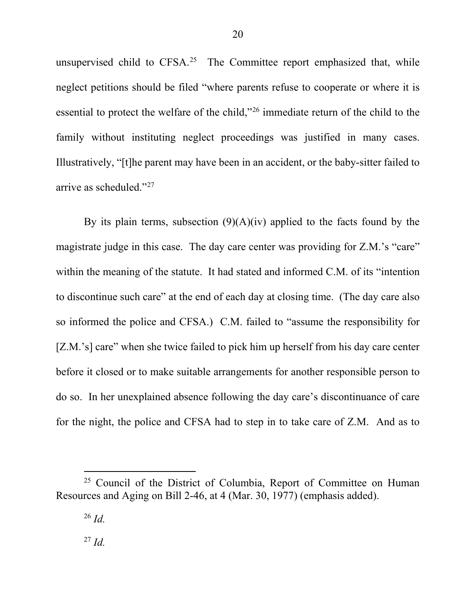unsupervised child to CFSA.<sup>25</sup> The Committee report emphasized that, while neglect petitions should be filed "where parents refuse to cooperate or where it is essential to protect the welfare of the child,"26 immediate return of the child to the family without instituting neglect proceedings was justified in many cases. Illustratively, "[t]he parent may have been in an accident, or the baby-sitter failed to arrive as scheduled."27

By its plain terms, subsection  $(9)(A)(iv)$  applied to the facts found by the magistrate judge in this case. The day care center was providing for Z.M.'s "care" within the meaning of the statute. It had stated and informed C.M. of its "intention to discontinue such care" at the end of each day at closing time. (The day care also so informed the police and CFSA.) C.M. failed to "assume the responsibility for [Z.M.'s] care" when she twice failed to pick him up herself from his day care center before it closed or to make suitable arrangements for another responsible person to do so. In her unexplained absence following the day care's discontinuance of care for the night, the police and CFSA had to step in to take care of Z.M. And as to

 $25$  Council of the District of Columbia, Report of Committee on Human Resources and Aging on Bill 2-46, at 4 (Mar. 30, 1977) (emphasis added).

<sup>26</sup> *Id.*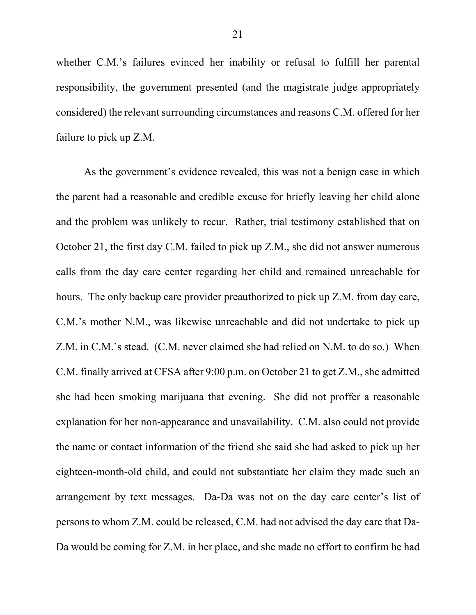whether C.M.'s failures evinced her inability or refusal to fulfill her parental responsibility, the government presented (and the magistrate judge appropriately considered) the relevant surrounding circumstances and reasons C.M. offered for her failure to pick up Z.M.

As the government's evidence revealed, this was not a benign case in which the parent had a reasonable and credible excuse for briefly leaving her child alone and the problem was unlikely to recur. Rather, trial testimony established that on October 21, the first day C.M. failed to pick up Z.M., she did not answer numerous calls from the day care center regarding her child and remained unreachable for hours. The only backup care provider preauthorized to pick up Z.M. from day care, C.M.'s mother N.M., was likewise unreachable and did not undertake to pick up Z.M. in C.M.'s stead. (C.M. never claimed she had relied on N.M. to do so.) When C.M. finally arrived at CFSA after 9:00 p.m. on October 21 to get Z.M., she admitted she had been smoking marijuana that evening. She did not proffer a reasonable explanation for her non-appearance and unavailability. C.M. also could not provide the name or contact information of the friend she said she had asked to pick up her eighteen-month-old child, and could not substantiate her claim they made such an arrangement by text messages. Da-Da was not on the day care center's list of persons to whom Z.M. could be released, C.M. had not advised the day care that Da-Da would be coming for Z.M. in her place, and she made no effort to confirm he had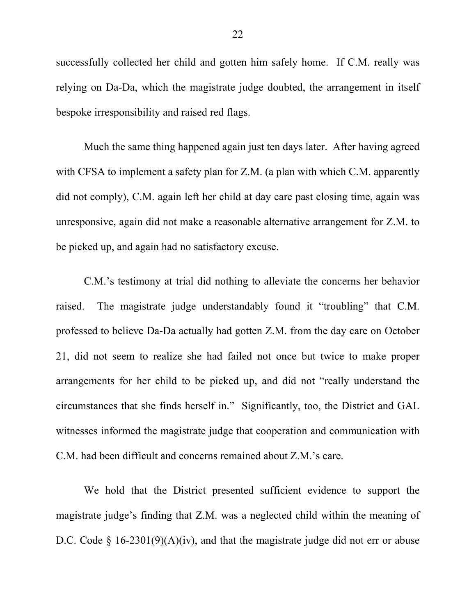successfully collected her child and gotten him safely home. If C.M. really was relying on Da-Da, which the magistrate judge doubted, the arrangement in itself bespoke irresponsibility and raised red flags.

Much the same thing happened again just ten days later. After having agreed with CFSA to implement a safety plan for Z.M. (a plan with which C.M. apparently did not comply), C.M. again left her child at day care past closing time, again was unresponsive, again did not make a reasonable alternative arrangement for Z.M. to be picked up, and again had no satisfactory excuse.

C.M.'s testimony at trial did nothing to alleviate the concerns her behavior raised. The magistrate judge understandably found it "troubling" that C.M. professed to believe Da-Da actually had gotten Z.M. from the day care on October 21, did not seem to realize she had failed not once but twice to make proper arrangements for her child to be picked up, and did not "really understand the circumstances that she finds herself in." Significantly, too, the District and GAL witnesses informed the magistrate judge that cooperation and communication with C.M. had been difficult and concerns remained about Z.M.'s care.

We hold that the District presented sufficient evidence to support the magistrate judge's finding that Z.M. was a neglected child within the meaning of D.C. Code § 16-2301(9)(A)(iv), and that the magistrate judge did not err or abuse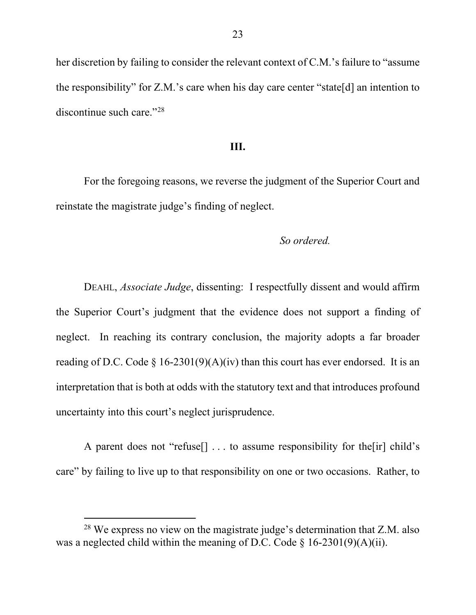her discretion by failing to consider the relevant context of C.M.'s failure to "assume the responsibility" for Z.M.'s care when his day care center "state[d] an intention to discontinue such care."28

#### **III.**

For the foregoing reasons, we reverse the judgment of the Superior Court and reinstate the magistrate judge's finding of neglect.

### *So ordered.*

DEAHL, *Associate Judge*, dissenting: I respectfully dissent and would affirm the Superior Court's judgment that the evidence does not support a finding of neglect. In reaching its contrary conclusion, the majority adopts a far broader reading of D.C. Code § 16-2301(9)(A)(iv) than this court has ever endorsed. It is an interpretation that is both at odds with the statutory text and that introduces profound uncertainty into this court's neglect jurisprudence.

A parent does not "refuse[] . . . to assume responsibility for the[ir] child's care" by failing to live up to that responsibility on one or two occasions. Rather, to

 <sup>28</sup> We express no view on the magistrate judge's determination that Z.M. also was a neglected child within the meaning of D.C. Code  $\S$  16-2301(9)(A)(ii).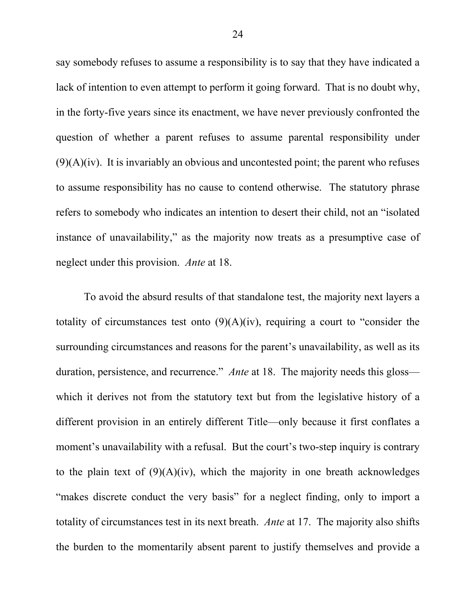say somebody refuses to assume a responsibility is to say that they have indicated a lack of intention to even attempt to perform it going forward. That is no doubt why, in the forty-five years since its enactment, we have never previously confronted the question of whether a parent refuses to assume parental responsibility under  $(9)(A)(iv)$ . It is invariably an obvious and uncontested point; the parent who refuses to assume responsibility has no cause to contend otherwise. The statutory phrase refers to somebody who indicates an intention to desert their child, not an "isolated instance of unavailability," as the majority now treats as a presumptive case of neglect under this provision. *Ante* at 18.

To avoid the absurd results of that standalone test, the majority next layers a totality of circumstances test onto  $(9)(A)(iv)$ , requiring a court to "consider the surrounding circumstances and reasons for the parent's unavailability, as well as its duration, persistence, and recurrence." *Ante* at 18. The majority needs this gloss which it derives not from the statutory text but from the legislative history of a different provision in an entirely different Title—only because it first conflates a moment's unavailability with a refusal. But the court's two-step inquiry is contrary to the plain text of  $(9)(A)(iv)$ , which the majority in one breath acknowledges "makes discrete conduct the very basis" for a neglect finding, only to import a totality of circumstances test in its next breath. *Ante* at 17. The majority also shifts the burden to the momentarily absent parent to justify themselves and provide a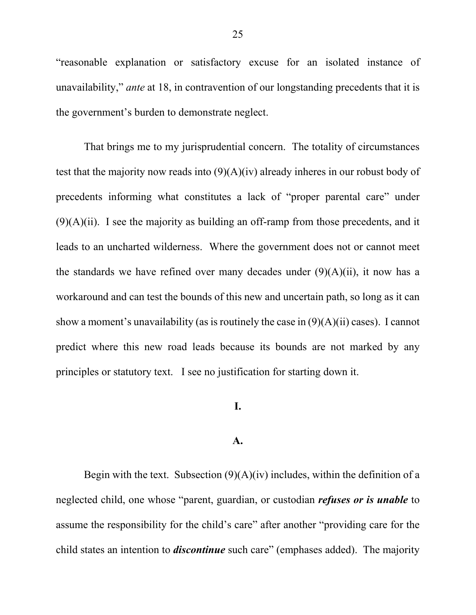"reasonable explanation or satisfactory excuse for an isolated instance of unavailability," *ante* at 18, in contravention of our longstanding precedents that it is the government's burden to demonstrate neglect.

That brings me to my jurisprudential concern. The totality of circumstances test that the majority now reads into  $(9)(A)(iv)$  already inheres in our robust body of precedents informing what constitutes a lack of "proper parental care" under  $(9)(A)(ii)$ . I see the majority as building an off-ramp from those precedents, and it leads to an uncharted wilderness. Where the government does not or cannot meet the standards we have refined over many decades under  $(9)(A)(ii)$ , it now has a workaround and can test the bounds of this new and uncertain path, so long as it can show a moment's unavailability (as is routinely the case in  $(9)(A)(ii)$  cases). I cannot predict where this new road leads because its bounds are not marked by any principles or statutory text. I see no justification for starting down it.

## **I.**

#### **A.**

Begin with the text. Subsection  $(9)(A)(iv)$  includes, within the definition of a neglected child, one whose "parent, guardian, or custodian *refuses or is unable* to assume the responsibility for the child's care" after another "providing care for the child states an intention to *discontinue* such care" (emphases added). The majority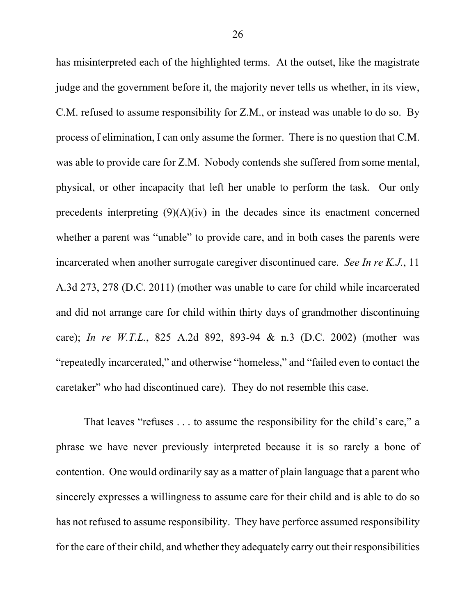has misinterpreted each of the highlighted terms. At the outset, like the magistrate judge and the government before it, the majority never tells us whether, in its view, C.M. refused to assume responsibility for Z.M., or instead was unable to do so. By process of elimination, I can only assume the former. There is no question that C.M. was able to provide care for Z.M. Nobody contends she suffered from some mental, physical, or other incapacity that left her unable to perform the task. Our only precedents interpreting  $(9)(A)(iv)$  in the decades since its enactment concerned whether a parent was "unable" to provide care, and in both cases the parents were incarcerated when another surrogate caregiver discontinued care. *See In re K.J.*, 11 A.3d 273, 278 (D.C. 2011) (mother was unable to care for child while incarcerated and did not arrange care for child within thirty days of grandmother discontinuing care); *In re W.T.L.*, 825 A.2d 892, 893-94 & n.3 (D.C. 2002) (mother was "repeatedly incarcerated," and otherwise "homeless," and "failed even to contact the caretaker" who had discontinued care). They do not resemble this case.

That leaves "refuses . . . to assume the responsibility for the child's care," a phrase we have never previously interpreted because it is so rarely a bone of contention. One would ordinarily say as a matter of plain language that a parent who sincerely expresses a willingness to assume care for their child and is able to do so has not refused to assume responsibility. They have perforce assumed responsibility for the care of their child, and whether they adequately carry out their responsibilities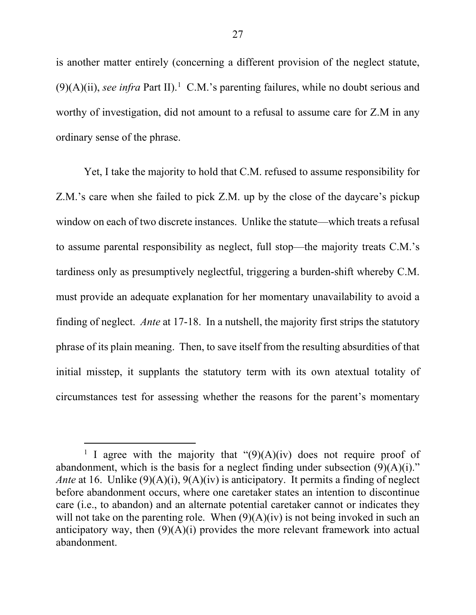is another matter entirely (concerning a different provision of the neglect statute,  $(9)(A)(ii)$ , *see infra* Part II).<sup>1</sup> C.M.'s parenting failures, while no doubt serious and worthy of investigation, did not amount to a refusal to assume care for Z.M in any ordinary sense of the phrase.

Yet, I take the majority to hold that C.M. refused to assume responsibility for Z.M.'s care when she failed to pick Z.M. up by the close of the daycare's pickup window on each of two discrete instances. Unlike the statute—which treats a refusal to assume parental responsibility as neglect, full stop—the majority treats C.M.'s tardiness only as presumptively neglectful, triggering a burden-shift whereby C.M. must provide an adequate explanation for her momentary unavailability to avoid a finding of neglect. *Ante* at 17-18. In a nutshell, the majority first strips the statutory phrase of its plain meaning. Then, to save itself from the resulting absurdities of that initial misstep, it supplants the statutory term with its own atextual totality of circumstances test for assessing whether the reasons for the parent's momentary

<sup>&</sup>lt;sup>1</sup> I agree with the majority that " $(9)(A)(iv)$  does not require proof of abandonment, which is the basis for a neglect finding under subsection  $(9)(A)(i)$ ." *Ante* at 16. Unlike (9)(A)(i), 9(A)(iv) is anticipatory. It permits a finding of neglect before abandonment occurs, where one caretaker states an intention to discontinue care (i.e., to abandon) and an alternate potential caretaker cannot or indicates they will not take on the parenting role. When  $(9)(A)(iv)$  is not being invoked in such an anticipatory way, then  $(9)(A)(i)$  provides the more relevant framework into actual abandonment.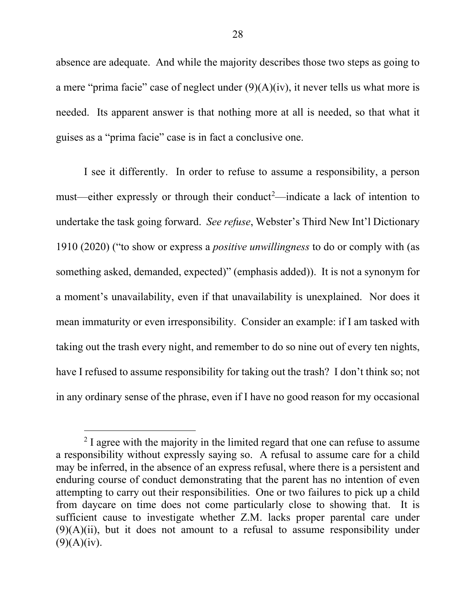absence are adequate. And while the majority describes those two steps as going to a mere "prima facie" case of neglect under  $(9)(A)(iv)$ , it never tells us what more is needed. Its apparent answer is that nothing more at all is needed, so that what it guises as a "prima facie" case is in fact a conclusive one.

I see it differently. In order to refuse to assume a responsibility, a person must—either expressly or through their conduct<sup>2</sup>—indicate a lack of intention to undertake the task going forward. *See refuse*, Webster's Third New Int'l Dictionary 1910 (2020) ("to show or express a *positive unwillingness* to do or comply with (as something asked, demanded, expected)" (emphasis added)). It is not a synonym for a moment's unavailability, even if that unavailability is unexplained. Nor does it mean immaturity or even irresponsibility. Consider an example: if I am tasked with taking out the trash every night, and remember to do so nine out of every ten nights, have I refused to assume responsibility for taking out the trash? I don't think so; not in any ordinary sense of the phrase, even if I have no good reason for my occasional

 $2$  I agree with the majority in the limited regard that one can refuse to assume a responsibility without expressly saying so. A refusal to assume care for a child may be inferred, in the absence of an express refusal, where there is a persistent and enduring course of conduct demonstrating that the parent has no intention of even attempting to carry out their responsibilities. One or two failures to pick up a child from daycare on time does not come particularly close to showing that. It is sufficient cause to investigate whether Z.M. lacks proper parental care under  $(9)(A)(ii)$ , but it does not amount to a refusal to assume responsibility under  $(9)(A)(iv).$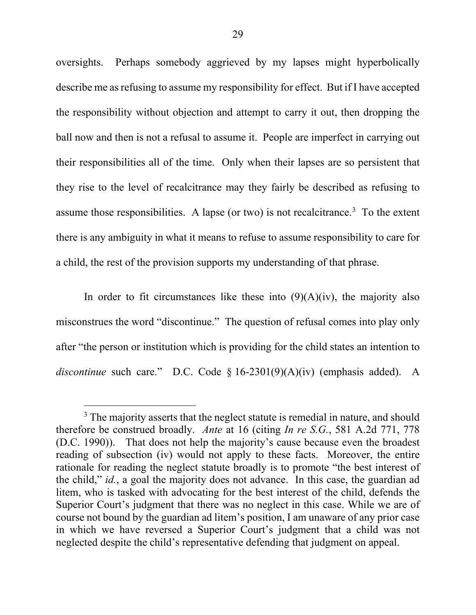oversights. Perhaps somebody aggrieved by my lapses might hyperbolically describe me as refusing to assume my responsibility for effect. But if I have accepted the responsibility without objection and attempt to carry it out, then dropping the ball now and then is not a refusal to assume it. People are imperfect in carrying out their responsibilities all of the time. Only when their lapses are so persistent that they rise to the level of recalcitrance may they fairly be described as refusing to assume those responsibilities. A lapse (or two) is not recalcitrance.<sup>3</sup> To the extent there is any ambiguity in what it means to refuse to assume responsibility to care for a child, the rest of the provision supports my understanding of that phrase.

In order to fit circumstances like these into  $(9)(A)(iv)$ , the majority also misconstrues the word "discontinue." The question of refusal comes into play only after "the person or institution which is providing for the child states an intention to *discontinue* such care." D.C. Code § 16-2301(9)(A)(iv) (emphasis added). A

<sup>&</sup>lt;sup>3</sup> The majority asserts that the neglect statute is remedial in nature, and should therefore be construed broadly. *Ante* at 16 (citing *In re S.G.*, 581 A.2d 771, 778 (D.C. 1990)). That does not help the majority's cause because even the broadest reading of subsection (iv) would not apply to these facts. Moreover, the entire rationale for reading the neglect statute broadly is to promote "the best interest of the child," *id.*, a goal the majority does not advance. In this case, the guardian ad litem, who is tasked with advocating for the best interest of the child, defends the Superior Court's judgment that there was no neglect in this case. While we are of course not bound by the guardian ad litem's position, I am unaware of any prior case in which we have reversed a Superior Court's judgment that a child was not neglected despite the child's representative defending that judgment on appeal.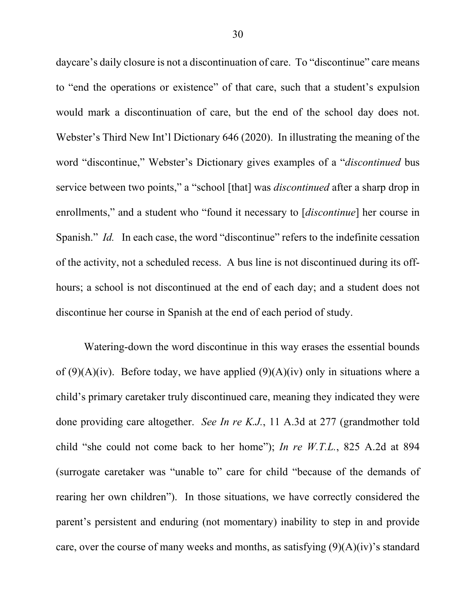daycare's daily closure is not a discontinuation of care. To "discontinue" care means to "end the operations or existence" of that care, such that a student's expulsion would mark a discontinuation of care, but the end of the school day does not. Webster's Third New Int'l Dictionary 646 (2020). In illustrating the meaning of the word "discontinue," Webster's Dictionary gives examples of a "*discontinued* bus service between two points," a "school [that] was *discontinued* after a sharp drop in enrollments," and a student who "found it necessary to [*discontinue*] her course in Spanish." *Id.* In each case, the word "discontinue" refers to the indefinite cessation of the activity, not a scheduled recess. A bus line is not discontinued during its offhours; a school is not discontinued at the end of each day; and a student does not discontinue her course in Spanish at the end of each period of study.

Watering-down the word discontinue in this way erases the essential bounds of  $(9)(A)(iv)$ . Before today, we have applied  $(9)(A)(iv)$  only in situations where a child's primary caretaker truly discontinued care, meaning they indicated they were done providing care altogether. *See In re K.J.*, 11 A.3d at 277 (grandmother told child "she could not come back to her home"); *In re W.T.L.*, 825 A.2d at 894 (surrogate caretaker was "unable to" care for child "because of the demands of rearing her own children"). In those situations, we have correctly considered the parent's persistent and enduring (not momentary) inability to step in and provide care, over the course of many weeks and months, as satisfying  $(9)(A)(iv)$ 's standard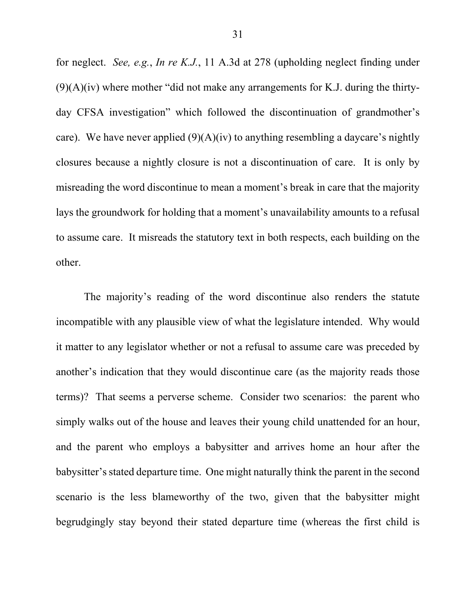for neglect. *See, e.g.*, *In re K.J.*, 11 A.3d at 278 (upholding neglect finding under  $(9)(A)(iv)$  where mother "did not make any arrangements for K.J. during the thirtyday CFSA investigation" which followed the discontinuation of grandmother's care). We have never applied  $(9)(A)(iv)$  to anything resembling a daycare's nightly closures because a nightly closure is not a discontinuation of care. It is only by misreading the word discontinue to mean a moment's break in care that the majority lays the groundwork for holding that a moment's unavailability amounts to a refusal to assume care. It misreads the statutory text in both respects, each building on the other.

The majority's reading of the word discontinue also renders the statute incompatible with any plausible view of what the legislature intended. Why would it matter to any legislator whether or not a refusal to assume care was preceded by another's indication that they would discontinue care (as the majority reads those terms)? That seems a perverse scheme. Consider two scenarios: the parent who simply walks out of the house and leaves their young child unattended for an hour, and the parent who employs a babysitter and arrives home an hour after the babysitter's stated departure time. One might naturally think the parent in the second scenario is the less blameworthy of the two, given that the babysitter might begrudgingly stay beyond their stated departure time (whereas the first child is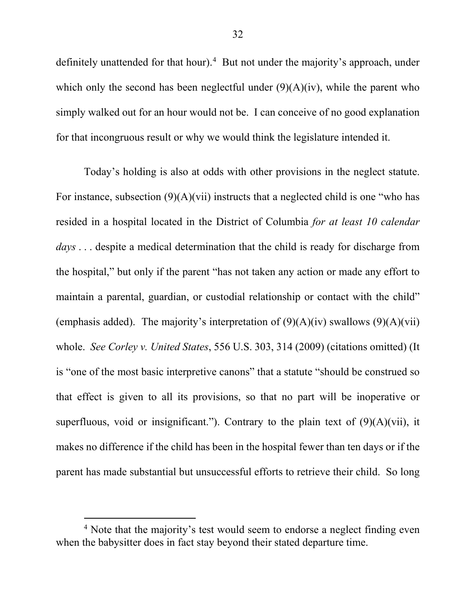definitely unattended for that hour).<sup>4</sup> But not under the majority's approach, under which only the second has been neglectful under  $(9)(A)(iv)$ , while the parent who simply walked out for an hour would not be. I can conceive of no good explanation for that incongruous result or why we would think the legislature intended it.

Today's holding is also at odds with other provisions in the neglect statute. For instance, subsection  $(9)(A)(vii)$  instructs that a neglected child is one "who has resided in a hospital located in the District of Columbia *for at least 10 calendar days* . . . despite a medical determination that the child is ready for discharge from the hospital," but only if the parent "has not taken any action or made any effort to maintain a parental, guardian, or custodial relationship or contact with the child" (emphasis added). The majority's interpretation of  $(9)(A)(iv)$  swallows  $(9)(A)(vii)$ whole. *See Corley v. United States*, 556 U.S. 303, 314 (2009) (citations omitted) (It is "one of the most basic interpretive canons" that a statute "should be construed so that effect is given to all its provisions, so that no part will be inoperative or superfluous, void or insignificant."). Contrary to the plain text of  $(9)(A)(vii)$ , it makes no difference if the child has been in the hospital fewer than ten days or if the parent has made substantial but unsuccessful efforts to retrieve their child. So long

<sup>&</sup>lt;sup>4</sup> Note that the majority's test would seem to endorse a neglect finding even when the babysitter does in fact stay beyond their stated departure time.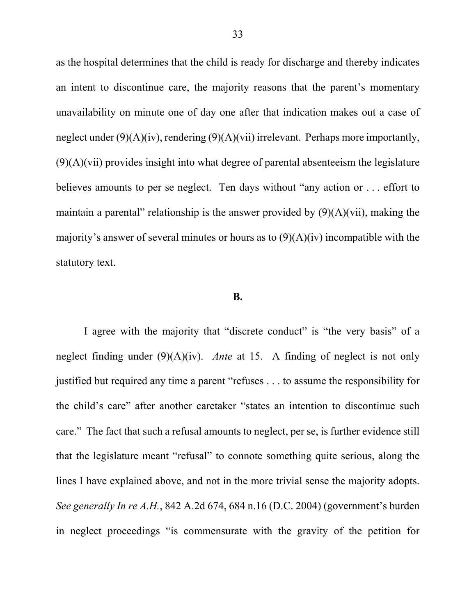as the hospital determines that the child is ready for discharge and thereby indicates an intent to discontinue care, the majority reasons that the parent's momentary unavailability on minute one of day one after that indication makes out a case of neglect under  $(9)(A)(iv)$ , rendering  $(9)(A)(vii)$  irrelevant. Perhaps more importantly,  $(9)(A)(vii)$  provides insight into what degree of parental absenteeism the legislature believes amounts to per se neglect. Ten days without "any action or . . . effort to maintain a parental" relationship is the answer provided by  $(9)(A)(vii)$ , making the majority's answer of several minutes or hours as to  $(9)(A)(iv)$  incompatible with the statutory text.

#### **B.**

I agree with the majority that "discrete conduct" is "the very basis" of a neglect finding under (9)(A)(iv). *Ante* at 15. A finding of neglect is not only justified but required any time a parent "refuses . . . to assume the responsibility for the child's care" after another caretaker "states an intention to discontinue such care." The fact that such a refusal amounts to neglect, per se, is further evidence still that the legislature meant "refusal" to connote something quite serious, along the lines I have explained above, and not in the more trivial sense the majority adopts. *See generally In re A.H.*, 842 A.2d 674, 684 n.16 (D.C. 2004) (government's burden in neglect proceedings "is commensurate with the gravity of the petition for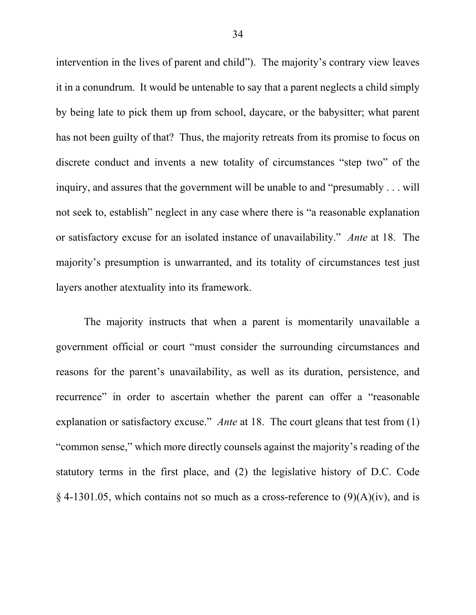intervention in the lives of parent and child"). The majority's contrary view leaves it in a conundrum. It would be untenable to say that a parent neglects a child simply by being late to pick them up from school, daycare, or the babysitter; what parent has not been guilty of that? Thus, the majority retreats from its promise to focus on discrete conduct and invents a new totality of circumstances "step two" of the inquiry, and assures that the government will be unable to and "presumably . . . will not seek to, establish" neglect in any case where there is "a reasonable explanation or satisfactory excuse for an isolated instance of unavailability." *Ante* at 18. The majority's presumption is unwarranted, and its totality of circumstances test just layers another atextuality into its framework.

The majority instructs that when a parent is momentarily unavailable a government official or court "must consider the surrounding circumstances and reasons for the parent's unavailability, as well as its duration, persistence, and recurrence" in order to ascertain whether the parent can offer a "reasonable explanation or satisfactory excuse." *Ante* at 18. The court gleans that test from (1) "common sense," which more directly counsels against the majority's reading of the statutory terms in the first place, and (2) the legislative history of D.C. Code § 4-1301.05, which contains not so much as a cross-reference to  $(9)(A)(iv)$ , and is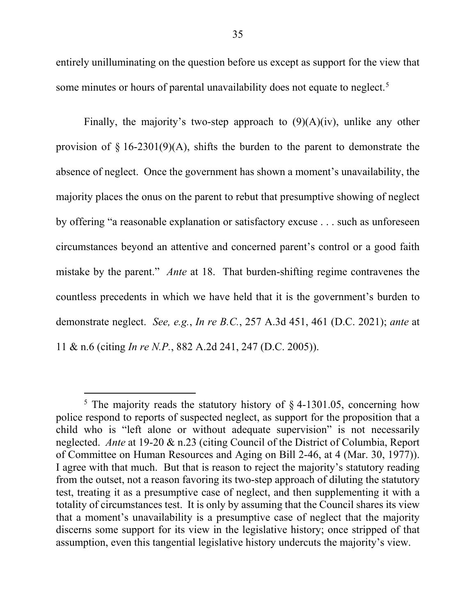entirely unilluminating on the question before us except as support for the view that some minutes or hours of parental unavailability does not equate to neglect.<sup>5</sup>

Finally, the majority's two-step approach to  $(9)(A)(iv)$ , unlike any other provision of  $\S$  16-2301(9)(A), shifts the burden to the parent to demonstrate the absence of neglect. Once the government has shown a moment's unavailability, the majority places the onus on the parent to rebut that presumptive showing of neglect by offering "a reasonable explanation or satisfactory excuse . . . such as unforeseen circumstances beyond an attentive and concerned parent's control or a good faith mistake by the parent." *Ante* at 18. That burden-shifting regime contravenes the countless precedents in which we have held that it is the government's burden to demonstrate neglect. *See, e.g.*, *In re B.C.*, 257 A.3d 451, 461 (D.C. 2021); *ante* at 11 & n.6 (citing *In re N.P.*, 882 A.2d 241, 247 (D.C. 2005)).

<sup>&</sup>lt;sup>5</sup> The majority reads the statutory history of  $\S$  4-1301.05, concerning how police respond to reports of suspected neglect, as support for the proposition that a child who is "left alone or without adequate supervision" is not necessarily neglected. *Ante* at 19-20 & n.23 (citing Council of the District of Columbia, Report of Committee on Human Resources and Aging on Bill 2-46, at 4 (Mar. 30, 1977)). I agree with that much. But that is reason to reject the majority's statutory reading from the outset, not a reason favoring its two-step approach of diluting the statutory test, treating it as a presumptive case of neglect, and then supplementing it with a totality of circumstances test. It is only by assuming that the Council shares its view that a moment's unavailability is a presumptive case of neglect that the majority discerns some support for its view in the legislative history; once stripped of that assumption, even this tangential legislative history undercuts the majority's view.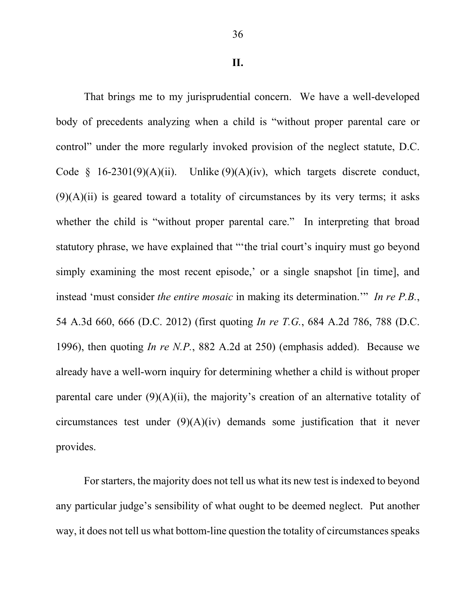That brings me to my jurisprudential concern. We have a well-developed body of precedents analyzing when a child is "without proper parental care or control" under the more regularly invoked provision of the neglect statute, D.C. Code  $\S$  16-2301(9)(A)(ii). Unlike (9)(A)(iv), which targets discrete conduct,  $(9)(A)(ii)$  is geared toward a totality of circumstances by its very terms; it asks whether the child is "without proper parental care." In interpreting that broad statutory phrase, we have explained that "'the trial court's inquiry must go beyond simply examining the most recent episode,' or a single snapshot [in time], and instead 'must consider *the entire mosaic* in making its determination.'" *In re P.B.*, 54 A.3d 660, 666 (D.C. 2012) (first quoting *In re T.G.*, 684 A.2d 786, 788 (D.C. 1996), then quoting *In re N.P.*, 882 A.2d at 250) (emphasis added). Because we already have a well-worn inquiry for determining whether a child is without proper parental care under  $(9)(A)(ii)$ , the majority's creation of an alternative totality of circumstances test under (9)(A)(iv) demands some justification that it never provides.

For starters, the majority does not tell us what its new test is indexed to beyond any particular judge's sensibility of what ought to be deemed neglect. Put another way, it does not tell us what bottom-line question the totality of circumstances speaks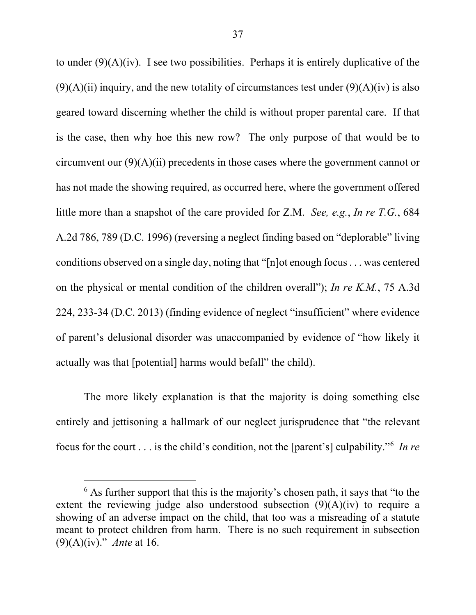to under  $(9)(A)(iv)$ . I see two possibilities. Perhaps it is entirely duplicative of the  $(9)(A)(ii)$  inquiry, and the new totality of circumstances test under  $(9)(A)(iv)$  is also geared toward discerning whether the child is without proper parental care. If that is the case, then why hoe this new row? The only purpose of that would be to circumvent our  $(9)(A)(ii)$  precedents in those cases where the government cannot or has not made the showing required, as occurred here, where the government offered little more than a snapshot of the care provided for Z.M. *See, e.g.*, *In re T.G.*, 684 A.2d 786, 789 (D.C. 1996) (reversing a neglect finding based on "deplorable" living conditions observed on a single day, noting that "[n]ot enough focus . . . was centered on the physical or mental condition of the children overall"); *In re K.M.*, 75 A.3d 224, 233-34 (D.C. 2013) (finding evidence of neglect "insufficient" where evidence of parent's delusional disorder was unaccompanied by evidence of "how likely it actually was that [potential] harms would befall" the child).

The more likely explanation is that the majority is doing something else entirely and jettisoning a hallmark of our neglect jurisprudence that "the relevant focus for the court . . . is the child's condition, not the [parent's] culpability."6 *In re* 

 $6$  As further support that this is the majority's chosen path, it says that "to the extent the reviewing judge also understood subsection  $(9)(A)(iv)$  to require a showing of an adverse impact on the child, that too was a misreading of a statute meant to protect children from harm. There is no such requirement in subsection (9)(A)(iv)." *Ante* at 16.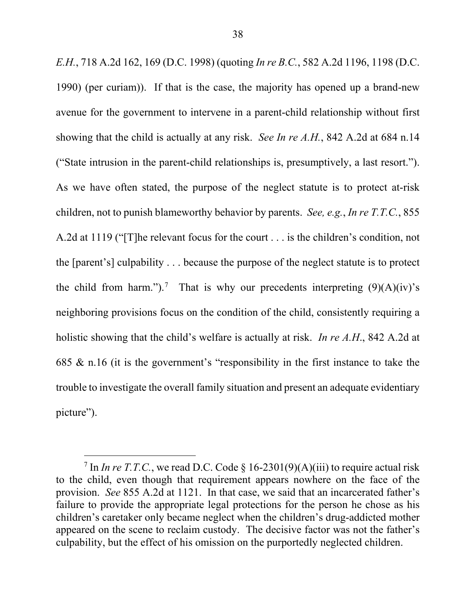*E.H.*, 718 A.2d 162, 169 (D.C. 1998) (quoting *In re B.C.*, 582 A.2d 1196, 1198 (D.C. 1990) (per curiam)). If that is the case, the majority has opened up a brand-new avenue for the government to intervene in a parent-child relationship without first showing that the child is actually at any risk. *See In re A.H.*, 842 A.2d at 684 n.14 ("State intrusion in the parent-child relationships is, presumptively, a last resort."). As we have often stated, the purpose of the neglect statute is to protect at-risk children, not to punish blameworthy behavior by parents. *See, e.g.*, *In re T.T.C.*, 855 A.2d at 1119 ("[T]he relevant focus for the court . . . is the children's condition, not the [parent's] culpability . . . because the purpose of the neglect statute is to protect the child from harm.").<sup>7</sup> That is why our precedents interpreting  $(9)(A)(iv)$ 's neighboring provisions focus on the condition of the child, consistently requiring a holistic showing that the child's welfare is actually at risk. *In re A.H*., 842 A.2d at 685 & n.16 (it is the government's "responsibility in the first instance to take the trouble to investigate the overall family situation and present an adequate evidentiary picture").

<sup>&</sup>lt;sup>7</sup> In *In re T.T.C.*, we read D.C. Code  $\S$  16-2301(9)(A)(iii) to require actual risk to the child, even though that requirement appears nowhere on the face of the provision. *See* 855 A.2d at 1121. In that case, we said that an incarcerated father's failure to provide the appropriate legal protections for the person he chose as his children's caretaker only became neglect when the children's drug-addicted mother appeared on the scene to reclaim custody. The decisive factor was not the father's culpability, but the effect of his omission on the purportedly neglected children.